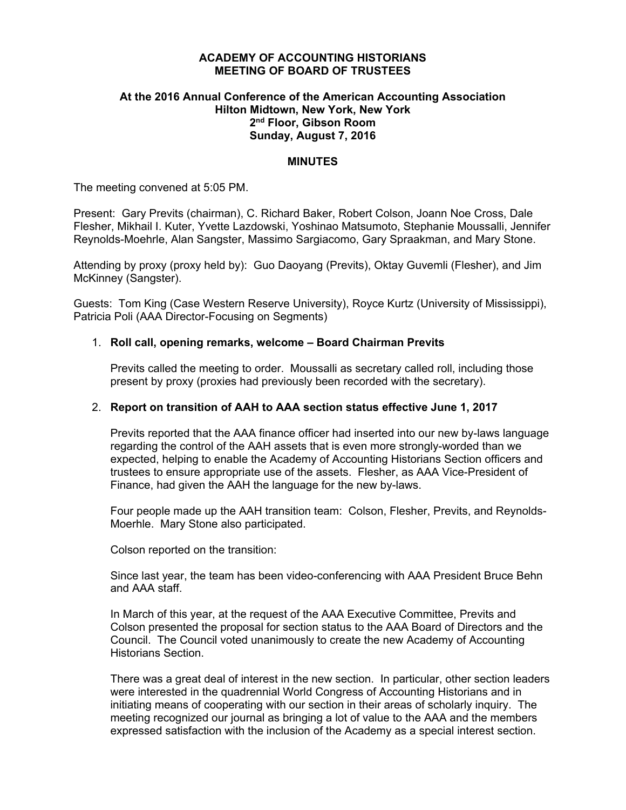# **ACADEMY OF ACCOUNTING HISTORIANS MEETING OF BOARD OF TRUSTEES**

# **At the 2016 Annual Conference of the American Accounting Association Hilton Midtown, New York, New York 2nd Floor, Gibson Room Sunday, August 7, 2016**

### **MINUTES**

The meeting convened at 5:05 PM.

Present: Gary Previts (chairman), C. Richard Baker, Robert Colson, Joann Noe Cross, Dale Flesher, Mikhail I. Kuter, Yvette Lazdowski, Yoshinao Matsumoto, Stephanie Moussalli, Jennifer Reynolds-Moehrle, Alan Sangster, Massimo Sargiacomo, Gary Spraakman, and Mary Stone.

Attending by proxy (proxy held by): Guo Daoyang (Previts), Oktay Guvemli (Flesher), and Jim McKinney (Sangster).

Guests: Tom King (Case Western Reserve University), Royce Kurtz (University of Mississippi), Patricia Poli (AAA Director-Focusing on Segments)

# 1. **Roll call, opening remarks, welcome – Board Chairman Previts**

Previts called the meeting to order. Moussalli as secretary called roll, including those present by proxy (proxies had previously been recorded with the secretary).

# 2. **Report on transition of AAH to AAA section status effective June 1, 2017**

Previts reported that the AAA finance officer had inserted into our new by-laws language regarding the control of the AAH assets that is even more strongly-worded than we expected, helping to enable the Academy of Accounting Historians Section officers and trustees to ensure appropriate use of the assets. Flesher, as AAA Vice-President of Finance, had given the AAH the language for the new by-laws.

Four people made up the AAH transition team: Colson, Flesher, Previts, and Reynolds-Moerhle. Mary Stone also participated.

Colson reported on the transition:

Since last year, the team has been video-conferencing with AAA President Bruce Behn and AAA staff.

In March of this year, at the request of the AAA Executive Committee, Previts and Colson presented the proposal for section status to the AAA Board of Directors and the Council. The Council voted unanimously to create the new Academy of Accounting Historians Section.

There was a great deal of interest in the new section. In particular, other section leaders were interested in the quadrennial World Congress of Accounting Historians and in initiating means of cooperating with our section in their areas of scholarly inquiry. The meeting recognized our journal as bringing a lot of value to the AAA and the members expressed satisfaction with the inclusion of the Academy as a special interest section.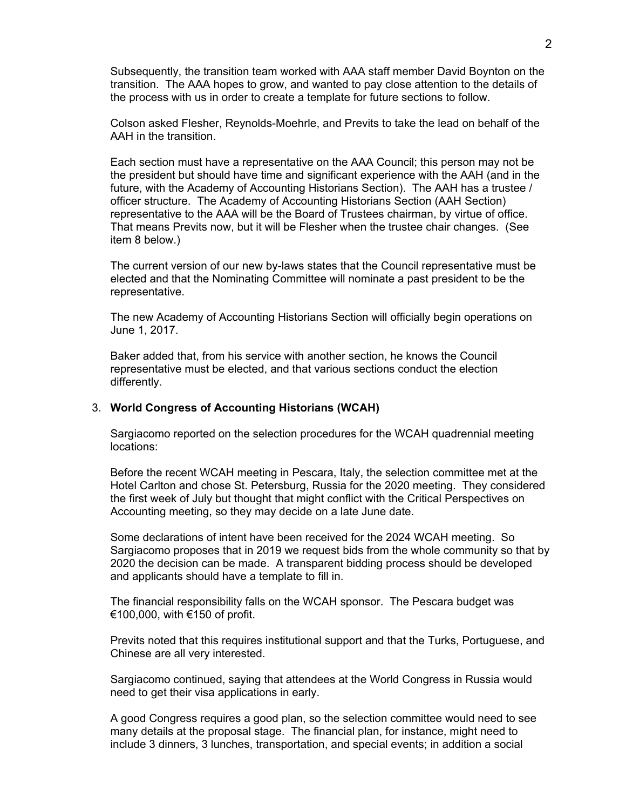Subsequently, the transition team worked with AAA staff member David Boynton on the transition. The AAA hopes to grow, and wanted to pay close attention to the details of the process with us in order to create a template for future sections to follow.

Colson asked Flesher, Reynolds-Moehrle, and Previts to take the lead on behalf of the AAH in the transition.

Each section must have a representative on the AAA Council; this person may not be the president but should have time and significant experience with the AAH (and in the future, with the Academy of Accounting Historians Section). The AAH has a trustee / officer structure. The Academy of Accounting Historians Section (AAH Section) representative to the AAA will be the Board of Trustees chairman, by virtue of office. That means Previts now, but it will be Flesher when the trustee chair changes. (See item 8 below.)

The current version of our new by-laws states that the Council representative must be elected and that the Nominating Committee will nominate a past president to be the representative.

The new Academy of Accounting Historians Section will officially begin operations on June 1, 2017.

Baker added that, from his service with another section, he knows the Council representative must be elected, and that various sections conduct the election differently.

# 3. **World Congress of Accounting Historians (WCAH)**

Sargiacomo reported on the selection procedures for the WCAH quadrennial meeting locations:

Before the recent WCAH meeting in Pescara, Italy, the selection committee met at the Hotel Carlton and chose St. Petersburg, Russia for the 2020 meeting. They considered the first week of July but thought that might conflict with the Critical Perspectives on Accounting meeting, so they may decide on a late June date.

Some declarations of intent have been received for the 2024 WCAH meeting. So Sargiacomo proposes that in 2019 we request bids from the whole community so that by 2020 the decision can be made. A transparent bidding process should be developed and applicants should have a template to fill in.

The financial responsibility falls on the WCAH sponsor. The Pescara budget was €100,000, with €150 of profit.

Previts noted that this requires institutional support and that the Turks, Portuguese, and Chinese are all very interested.

Sargiacomo continued, saying that attendees at the World Congress in Russia would need to get their visa applications in early.

A good Congress requires a good plan, so the selection committee would need to see many details at the proposal stage. The financial plan, for instance, might need to include 3 dinners, 3 lunches, transportation, and special events; in addition a social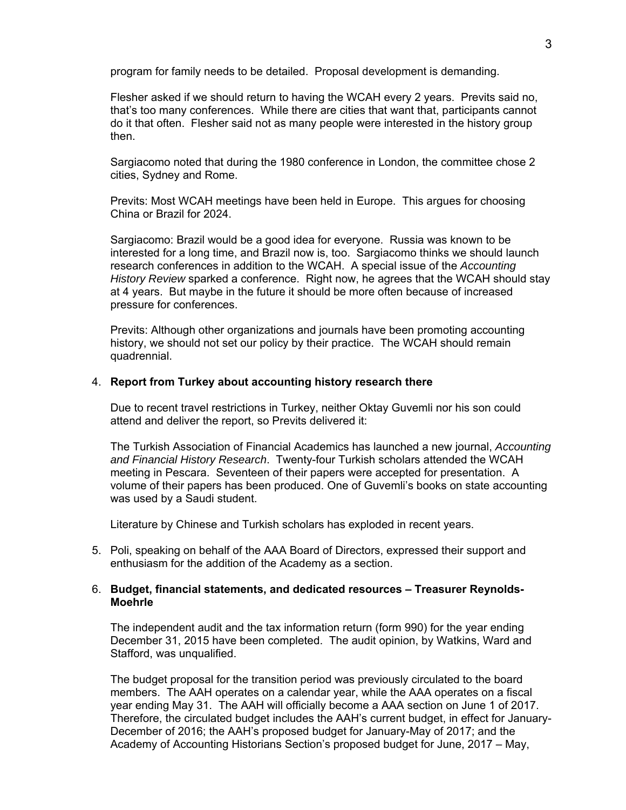program for family needs to be detailed. Proposal development is demanding.

Flesher asked if we should return to having the WCAH every 2 years. Previts said no, that's too many conferences. While there are cities that want that, participants cannot do it that often. Flesher said not as many people were interested in the history group then.

Sargiacomo noted that during the 1980 conference in London, the committee chose 2 cities, Sydney and Rome.

Previts: Most WCAH meetings have been held in Europe. This argues for choosing China or Brazil for 2024.

Sargiacomo: Brazil would be a good idea for everyone. Russia was known to be interested for a long time, and Brazil now is, too. Sargiacomo thinks we should launch research conferences in addition to the WCAH. A special issue of the *Accounting History Review* sparked a conference. Right now, he agrees that the WCAH should stay at 4 years. But maybe in the future it should be more often because of increased pressure for conferences.

Previts: Although other organizations and journals have been promoting accounting history, we should not set our policy by their practice. The WCAH should remain quadrennial.

## 4. **Report from Turkey about accounting history research there**

Due to recent travel restrictions in Turkey, neither Oktay Guvemli nor his son could attend and deliver the report, so Previts delivered it:

The Turkish Association of Financial Academics has launched a new journal, *Accounting and Financial History Research*. Twenty-four Turkish scholars attended the WCAH meeting in Pescara. Seventeen of their papers were accepted for presentation. A volume of their papers has been produced. One of Guvemli's books on state accounting was used by a Saudi student.

Literature by Chinese and Turkish scholars has exploded in recent years.

5. Poli, speaking on behalf of the AAA Board of Directors, expressed their support and enthusiasm for the addition of the Academy as a section.

#### 6. **Budget, financial statements, and dedicated resources – Treasurer Reynolds-Moehrle**

The independent audit and the tax information return (form 990) for the year ending December 31, 2015 have been completed. The audit opinion, by Watkins, Ward and Stafford, was unqualified.

The budget proposal for the transition period was previously circulated to the board members. The AAH operates on a calendar year, while the AAA operates on a fiscal year ending May 31. The AAH will officially become a AAA section on June 1 of 2017. Therefore, the circulated budget includes the AAH's current budget, in effect for January-December of 2016; the AAH's proposed budget for January-May of 2017; and the Academy of Accounting Historians Section's proposed budget for June, 2017 – May,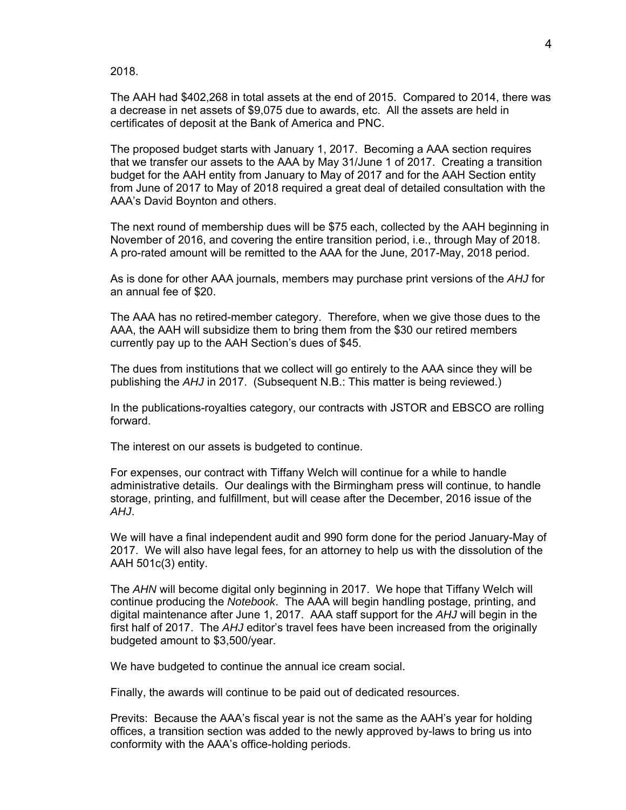2018.

The AAH had \$402,268 in total assets at the end of 2015. Compared to 2014, there was a decrease in net assets of \$9,075 due to awards, etc. All the assets are held in certificates of deposit at the Bank of America and PNC.

The proposed budget starts with January 1, 2017. Becoming a AAA section requires that we transfer our assets to the AAA by May 31/June 1 of 2017. Creating a transition budget for the AAH entity from January to May of 2017 and for the AAH Section entity from June of 2017 to May of 2018 required a great deal of detailed consultation with the AAA's David Boynton and others.

The next round of membership dues will be \$75 each, collected by the AAH beginning in November of 2016, and covering the entire transition period, i.e., through May of 2018. A pro-rated amount will be remitted to the AAA for the June, 2017-May, 2018 period.

As is done for other AAA journals, members may purchase print versions of the *AHJ* for an annual fee of \$20.

The AAA has no retired-member category. Therefore, when we give those dues to the AAA, the AAH will subsidize them to bring them from the \$30 our retired members currently pay up to the AAH Section's dues of \$45.

The dues from institutions that we collect will go entirely to the AAA since they will be publishing the *AHJ* in 2017. (Subsequent N.B.: This matter is being reviewed.)

In the publications-royalties category, our contracts with JSTOR and EBSCO are rolling forward.

The interest on our assets is budgeted to continue.

For expenses, our contract with Tiffany Welch will continue for a while to handle administrative details. Our dealings with the Birmingham press will continue, to handle storage, printing, and fulfillment, but will cease after the December, 2016 issue of the *AHJ*.

We will have a final independent audit and 990 form done for the period January-May of 2017. We will also have legal fees, for an attorney to help us with the dissolution of the AAH 501c(3) entity.

The *AHN* will become digital only beginning in 2017. We hope that Tiffany Welch will continue producing the *Notebook*. The AAA will begin handling postage, printing, and digital maintenance after June 1, 2017. AAA staff support for the *AHJ* will begin in the first half of 2017. The *AHJ* editor's travel fees have been increased from the originally budgeted amount to \$3,500/year.

We have budgeted to continue the annual ice cream social.

Finally, the awards will continue to be paid out of dedicated resources.

Previts: Because the AAA's fiscal year is not the same as the AAH's year for holding offices, a transition section was added to the newly approved by-laws to bring us into conformity with the AAA's office-holding periods.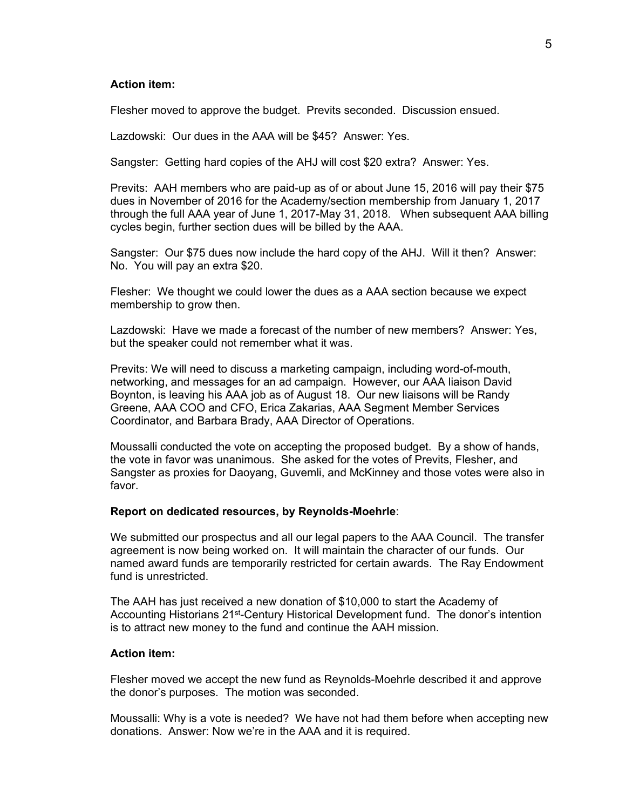# **Action item:**

Flesher moved to approve the budget. Previts seconded. Discussion ensued.

Lazdowski: Our dues in the AAA will be \$45? Answer: Yes.

Sangster: Getting hard copies of the AHJ will cost \$20 extra? Answer: Yes.

Previts: AAH members who are paid-up as of or about June 15, 2016 will pay their \$75 dues in November of 2016 for the Academy/section membership from January 1, 2017 through the full AAA year of June 1, 2017-May 31, 2018. When subsequent AAA billing cycles begin, further section dues will be billed by the AAA.

Sangster: Our \$75 dues now include the hard copy of the AHJ. Will it then? Answer: No. You will pay an extra \$20.

Flesher: We thought we could lower the dues as a AAA section because we expect membership to grow then.

Lazdowski: Have we made a forecast of the number of new members? Answer: Yes, but the speaker could not remember what it was.

Previts: We will need to discuss a marketing campaign, including word-of-mouth, networking, and messages for an ad campaign. However, our AAA liaison David Boynton, is leaving his AAA job as of August 18. Our new liaisons will be Randy Greene, AAA COO and CFO, Erica Zakarias, AAA Segment Member Services Coordinator, and Barbara Brady, AAA Director of Operations.

Moussalli conducted the vote on accepting the proposed budget. By a show of hands, the vote in favor was unanimous. She asked for the votes of Previts, Flesher, and Sangster as proxies for Daoyang, Guvemli, and McKinney and those votes were also in favor.

### **Report on dedicated resources, by Reynolds-Moehrle**:

We submitted our prospectus and all our legal papers to the AAA Council. The transfer agreement is now being worked on. It will maintain the character of our funds. Our named award funds are temporarily restricted for certain awards. The Ray Endowment fund is unrestricted.

The AAH has just received a new donation of \$10,000 to start the Academy of Accounting Historians 21<sup>st</sup>-Century Historical Development fund. The donor's intention is to attract new money to the fund and continue the AAH mission.

#### **Action item:**

Flesher moved we accept the new fund as Reynolds-Moehrle described it and approve the donor's purposes. The motion was seconded.

Moussalli: Why is a vote is needed? We have not had them before when accepting new donations. Answer: Now we're in the AAA and it is required.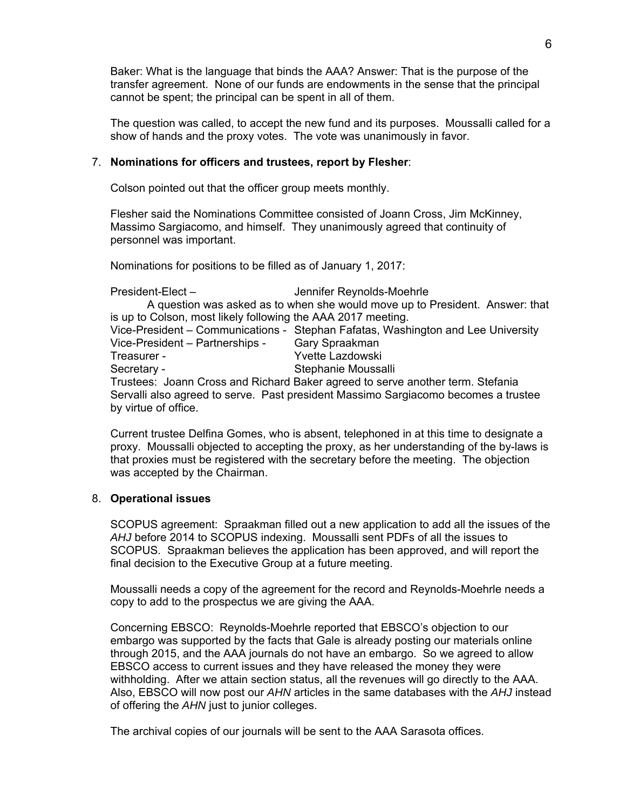Baker: What is the language that binds the AAA? Answer: That is the purpose of the transfer agreement. None of our funds are endowments in the sense that the principal cannot be spent; the principal can be spent in all of them.

The question was called, to accept the new fund and its purposes. Moussalli called for a show of hands and the proxy votes. The vote was unanimously in favor.

# 7. **Nominations for officers and trustees, report by Flesher**:

Colson pointed out that the officer group meets monthly.

Flesher said the Nominations Committee consisted of Joann Cross, Jim McKinney, Massimo Sargiacomo, and himself. They unanimously agreed that continuity of personnel was important.

Nominations for positions to be filled as of January 1, 2017:

| President-Elect-                                                               | Jennifer Reynolds-Moehrle                                                          |
|--------------------------------------------------------------------------------|------------------------------------------------------------------------------------|
|                                                                                | A question was asked as to when she would move up to President. Answer: that       |
| is up to Colson, most likely following the AAA 2017 meeting.                   |                                                                                    |
|                                                                                | Vice-President – Communications - Stephan Fafatas, Washington and Lee University   |
| Vice-President – Partnerships -                                                | Gary Spraakman                                                                     |
| Treasurer -                                                                    | Yvette Lazdowski                                                                   |
| Secretary -                                                                    | Stephanie Moussalli                                                                |
| Trustees: Joann Cross and Richard Baker agreed to serve another term. Stefania |                                                                                    |
|                                                                                | Servalli also agreed to serve. Past president Massimo Sargiacomo becomes a trustee |
| by virtue of office.                                                           |                                                                                    |

Current trustee Delfina Gomes, who is absent, telephoned in at this time to designate a proxy. Moussalli objected to accepting the proxy, as her understanding of the by-laws is that proxies must be registered with the secretary before the meeting. The objection was accepted by the Chairman.

# 8. **Operational issues**

SCOPUS agreement: Spraakman filled out a new application to add all the issues of the *AHJ* before 2014 to SCOPUS indexing. Moussalli sent PDFs of all the issues to SCOPUS. Spraakman believes the application has been approved, and will report the final decision to the Executive Group at a future meeting.

Moussalli needs a copy of the agreement for the record and Reynolds-Moehrle needs a copy to add to the prospectus we are giving the AAA.

Concerning EBSCO: Reynolds-Moehrle reported that EBSCO's objection to our embargo was supported by the facts that Gale is already posting our materials online through 2015, and the AAA journals do not have an embargo. So we agreed to allow EBSCO access to current issues and they have released the money they were withholding. After we attain section status, all the revenues will go directly to the AAA. Also, EBSCO will now post our *AHN* articles in the same databases with the *AHJ* instead of offering the *AHN* just to junior colleges.

The archival copies of our journals will be sent to the AAA Sarasota offices.